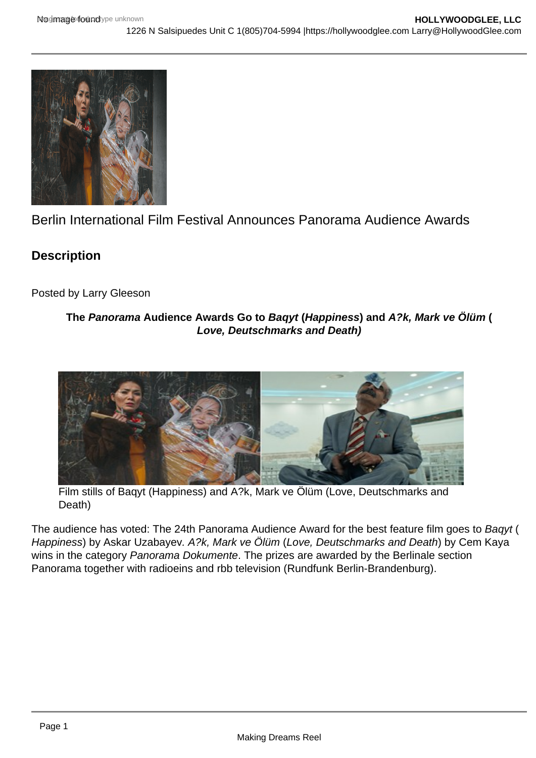# Berlin International Film Festival Announces Panorama Audience Awards

**Description** 

Posted by Larry Gleeson

The Panorama Audience Awards Go to Baqyt (Happiness ) and A?k, Mark ve Ölüm ( Love, Deutschmarks and Death)

Film stills of Baqyt (Happiness) and A?k, Mark ve Ölüm (Love, Deutschmarks and Death)

The audience has voted: The 24th Panorama Audience Award for the best feature film goes to Baqyt ( Happiness) by Askar Uzabayev. A?k, Mark ve Ölüm (Love, Deutschmarks and Death) by Cem Kaya wins in the category Panorama Dokumente. The prizes are awarded by the Berlinale section Panorama together with radioeins and rbb television (Rundfunk Berlin-Brandenburg).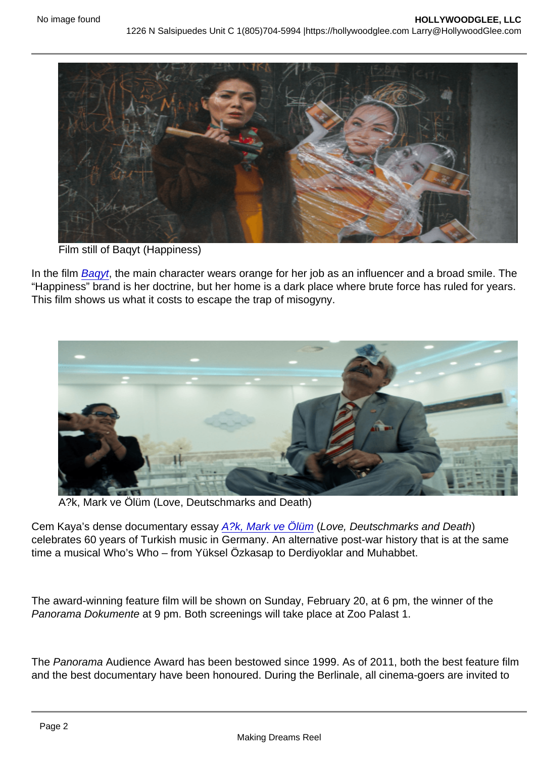Film still of Baqyt (Happiness)

In the film [Baqyt](https://www.berlinale.de/en/programme/programme/detail.html?film_id=202208940), the main character wears orange for her job as an influencer and a broad smile. The "Happiness" brand is her doctrine, but her home is a dark place where brute force has ruled for years. This film shows us what it costs to escape the trap of misogyny.

A?k, Mark ve Ölüm (Love, Deutschmarks and Death)

Cem Kaya's dense documentary essay [A?k, Mark ve Ölüm](https://www.berlinale.de/en/programme/programme/detail.html?film_id=202208694) (Love, Deutschmarks and Death) celebrates 60 years of Turkish music in Germany. An alternative post-war history that is at the same time a musical Who's Who – from Yüksel Özkasap to Derdiyoklar and Muhabbet.

The award-winning feature film will be shown on Sunday, February 20, at 6 pm, the winner of the Panorama Dokumente at 9 pm. Both screenings will take place at Zoo Palast 1.

The Panorama Audience Award has been bestowed since 1999. As of 2011, both the best feature film and the best documentary have been honoured. During the Berlinale, all cinema-goers are invited to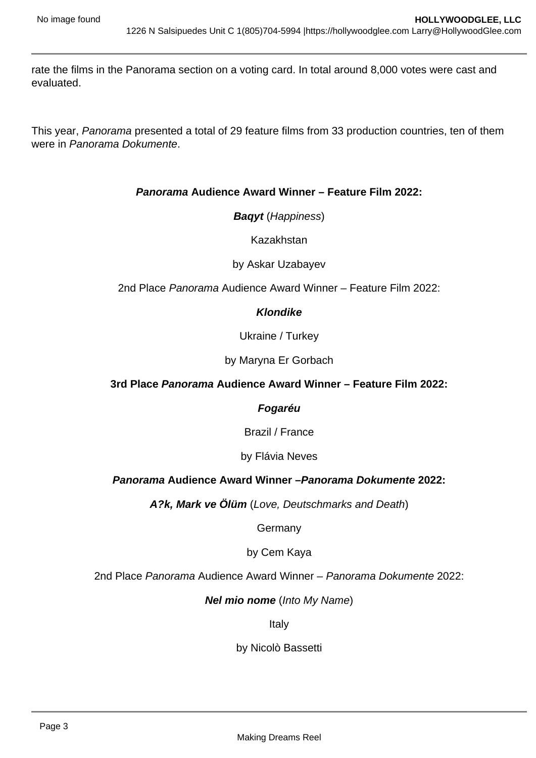rate the films in the Panorama section on a voting card. In total around 8,000 votes were cast and evaluated.

This year, Panorama presented a total of 29 feature films from 33 production countries, ten of them were in Panorama Dokumente.

## **Panorama Audience Award Winner – Feature Film 2022:**

**Baqyt** (Happiness)

Kazakhstan

by Askar Uzabayev

2nd Place Panorama Audience Award Winner – Feature Film 2022:

## **Klondike**

Ukraine / Turkey

by Maryna Er Gorbach

## **3rd Place Panorama Audience Award Winner – Feature Film 2022:**

#### **Fogaréu**

Brazil / France

by Flávia Neves

## **Panorama Audience Award Winner –Panorama Dokumente 2022:**

**A?k, Mark ve Ölüm** (Love, Deutschmarks and Death)

Germany

by Cem Kaya

2nd Place Panorama Audience Award Winner – Panorama Dokumente 2022:

#### **Nel mio nome** (Into My Name)

Italy

by Nicolò Bassetti